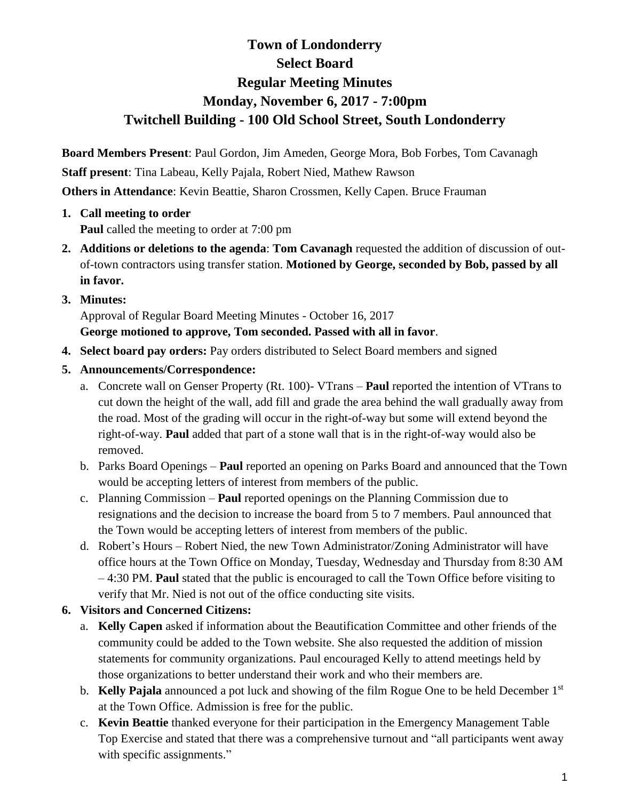# **Town of Londonderry Select Board Regular Meeting Minutes Monday, November 6, 2017 - 7:00pm Twitchell Building - 100 Old School Street, South Londonderry**

**Board Members Present**: Paul Gordon, Jim Ameden, George Mora, Bob Forbes, Tom Cavanagh **Staff present**: Tina Labeau, Kelly Pajala, Robert Nied, Mathew Rawson **Others in Attendance**: Kevin Beattie, Sharon Crossmen, Kelly Capen. Bruce Frauman

- **1. Call meeting to order Paul** called the meeting to order at 7:00 pm
- **2. Additions or deletions to the agenda**: **Tom Cavanagh** requested the addition of discussion of outof-town contractors using transfer station. **Motioned by George, seconded by Bob, passed by all in favor.**
- **3. Minutes:**

Approval of Regular Board Meeting Minutes - October 16, 2017 **George motioned to approve, Tom seconded. Passed with all in favor**.

- **4. Select board pay orders:** Pay orders distributed to Select Board members and signed
- **5. Announcements/Correspondence:** 
	- a. Concrete wall on Genser Property (Rt. 100)- VTrans **Paul** reported the intention of VTrans to cut down the height of the wall, add fill and grade the area behind the wall gradually away from the road. Most of the grading will occur in the right-of-way but some will extend beyond the right-of-way. **Paul** added that part of a stone wall that is in the right-of-way would also be removed.
	- b. Parks Board Openings **Paul** reported an opening on Parks Board and announced that the Town would be accepting letters of interest from members of the public.
	- c. Planning Commission **Paul** reported openings on the Planning Commission due to resignations and the decision to increase the board from 5 to 7 members. Paul announced that the Town would be accepting letters of interest from members of the public.
	- d. Robert's Hours Robert Nied, the new Town Administrator/Zoning Administrator will have office hours at the Town Office on Monday, Tuesday, Wednesday and Thursday from 8:30 AM – 4:30 PM. **Paul** stated that the public is encouraged to call the Town Office before visiting to verify that Mr. Nied is not out of the office conducting site visits.

### **6. Visitors and Concerned Citizens:**

- a. **Kelly Capen** asked if information about the Beautification Committee and other friends of the community could be added to the Town website. She also requested the addition of mission statements for community organizations. Paul encouraged Kelly to attend meetings held by those organizations to better understand their work and who their members are.
- b. **Kelly Pajala** announced a pot luck and showing of the film Rogue One to be held December 1st at the Town Office. Admission is free for the public.
- c. **Kevin Beattie** thanked everyone for their participation in the Emergency Management Table Top Exercise and stated that there was a comprehensive turnout and "all participants went away with specific assignments."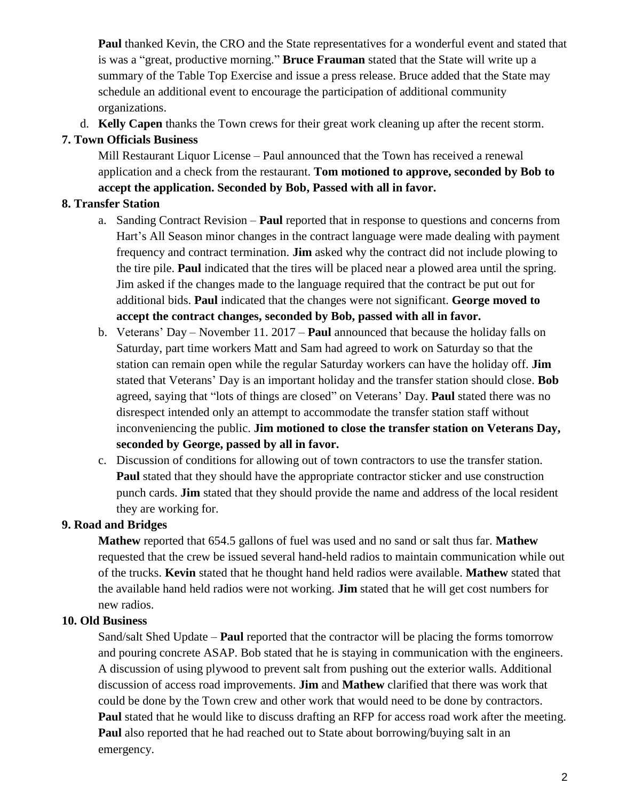**Paul** thanked Kevin, the CRO and the State representatives for a wonderful event and stated that is was a "great, productive morning." **Bruce Frauman** stated that the State will write up a summary of the Table Top Exercise and issue a press release. Bruce added that the State may schedule an additional event to encourage the participation of additional community organizations.

d. **Kelly Capen** thanks the Town crews for their great work cleaning up after the recent storm.

## **7. Town Officials Business**

Mill Restaurant Liquor License – Paul announced that the Town has received a renewal application and a check from the restaurant. **Tom motioned to approve, seconded by Bob to accept the application. Seconded by Bob, Passed with all in favor.**

# **8. Transfer Station**

- a. Sanding Contract Revision **Paul** reported that in response to questions and concerns from Hart's All Season minor changes in the contract language were made dealing with payment frequency and contract termination. **Jim** asked why the contract did not include plowing to the tire pile. **Paul** indicated that the tires will be placed near a plowed area until the spring. Jim asked if the changes made to the language required that the contract be put out for additional bids. **Paul** indicated that the changes were not significant. **George moved to accept the contract changes, seconded by Bob, passed with all in favor.**
- b. Veterans' Day November 11. 2017 **Paul** announced that because the holiday falls on Saturday, part time workers Matt and Sam had agreed to work on Saturday so that the station can remain open while the regular Saturday workers can have the holiday off. **Jim** stated that Veterans' Day is an important holiday and the transfer station should close. **Bob** agreed, saying that "lots of things are closed" on Veterans' Day. **Paul** stated there was no disrespect intended only an attempt to accommodate the transfer station staff without inconveniencing the public. **Jim motioned to close the transfer station on Veterans Day, seconded by George, passed by all in favor.**
- c. Discussion of conditions for allowing out of town contractors to use the transfer station. **Paul** stated that they should have the appropriate contractor sticker and use construction punch cards. **Jim** stated that they should provide the name and address of the local resident they are working for.

### **9. Road and Bridges**

**Mathew** reported that 654.5 gallons of fuel was used and no sand or salt thus far. **Mathew** requested that the crew be issued several hand-held radios to maintain communication while out of the trucks. **Kevin** stated that he thought hand held radios were available. **Mathew** stated that the available hand held radios were not working. **Jim** stated that he will get cost numbers for new radios.

### **10. Old Business**

Sand/salt Shed Update – **Paul** reported that the contractor will be placing the forms tomorrow and pouring concrete ASAP. Bob stated that he is staying in communication with the engineers. A discussion of using plywood to prevent salt from pushing out the exterior walls. Additional discussion of access road improvements. **Jim** and **Mathew** clarified that there was work that could be done by the Town crew and other work that would need to be done by contractors. **Paul** stated that he would like to discuss drafting an RFP for access road work after the meeting. **Paul** also reported that he had reached out to State about borrowing/buying salt in an emergency.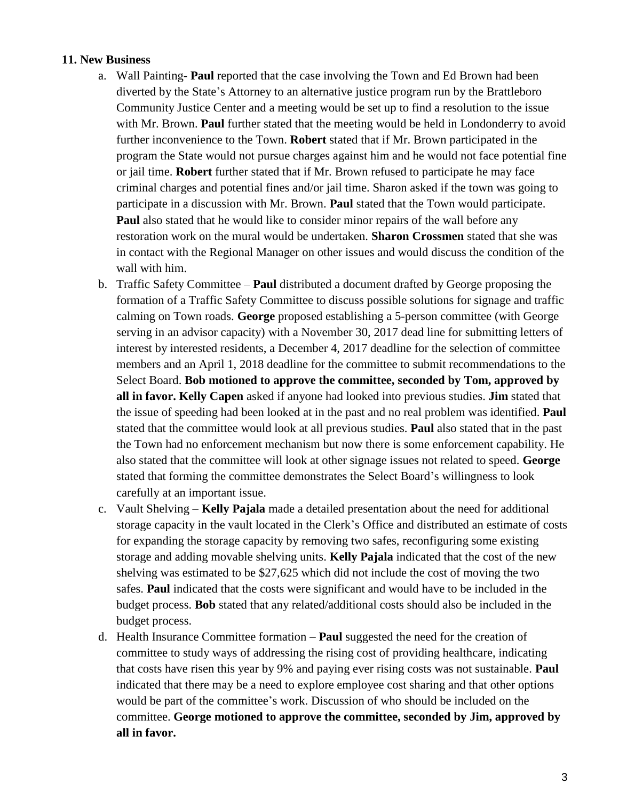#### **11. New Business**

- a. Wall Painting- **Paul** reported that the case involving the Town and Ed Brown had been diverted by the State's Attorney to an alternative justice program run by the Brattleboro Community Justice Center and a meeting would be set up to find a resolution to the issue with Mr. Brown. **Paul** further stated that the meeting would be held in Londonderry to avoid further inconvenience to the Town. **Robert** stated that if Mr. Brown participated in the program the State would not pursue charges against him and he would not face potential fine or jail time. **Robert** further stated that if Mr. Brown refused to participate he may face criminal charges and potential fines and/or jail time. Sharon asked if the town was going to participate in a discussion with Mr. Brown. **Paul** stated that the Town would participate. **Paul** also stated that he would like to consider minor repairs of the wall before any restoration work on the mural would be undertaken. **Sharon Crossmen** stated that she was in contact with the Regional Manager on other issues and would discuss the condition of the wall with him.
- b. Traffic Safety Committee **Paul** distributed a document drafted by George proposing the formation of a Traffic Safety Committee to discuss possible solutions for signage and traffic calming on Town roads. **George** proposed establishing a 5-person committee (with George serving in an advisor capacity) with a November 30, 2017 dead line for submitting letters of interest by interested residents, a December 4, 2017 deadline for the selection of committee members and an April 1, 2018 deadline for the committee to submit recommendations to the Select Board. **Bob motioned to approve the committee, seconded by Tom, approved by all in favor. Kelly Capen** asked if anyone had looked into previous studies. **Jim** stated that the issue of speeding had been looked at in the past and no real problem was identified. **Paul**  stated that the committee would look at all previous studies. **Paul** also stated that in the past the Town had no enforcement mechanism but now there is some enforcement capability. He also stated that the committee will look at other signage issues not related to speed. **George**  stated that forming the committee demonstrates the Select Board's willingness to look carefully at an important issue.
- c. Vault Shelving **Kelly Pajala** made a detailed presentation about the need for additional storage capacity in the vault located in the Clerk's Office and distributed an estimate of costs for expanding the storage capacity by removing two safes, reconfiguring some existing storage and adding movable shelving units. **Kelly Pajala** indicated that the cost of the new shelving was estimated to be \$27,625 which did not include the cost of moving the two safes. **Paul** indicated that the costs were significant and would have to be included in the budget process. **Bob** stated that any related/additional costs should also be included in the budget process.
- d. Health Insurance Committee formation **Paul** suggested the need for the creation of committee to study ways of addressing the rising cost of providing healthcare, indicating that costs have risen this year by 9% and paying ever rising costs was not sustainable. **Paul** indicated that there may be a need to explore employee cost sharing and that other options would be part of the committee's work. Discussion of who should be included on the committee. **George motioned to approve the committee, seconded by Jim, approved by all in favor.**